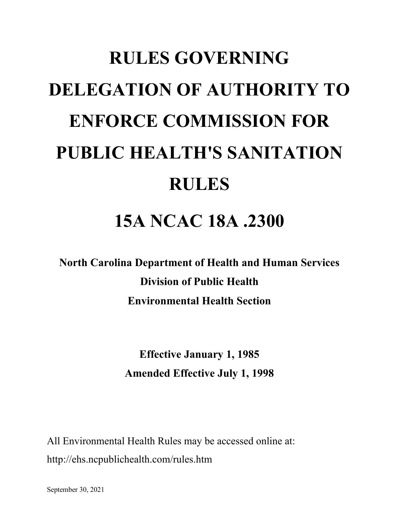# **RULES GOVERNING DELEGATION OF AUTHORITY TO ENFORCE COMMISSION FOR PUBLIC HEALTH'S SANITATION RULES 15A NCAC 18A .2300**

**North Carolina Department of Health and Human Services Division of Public Health Environmental Health Section**

> **Effective January 1, 1985 Amended Effective July 1, 1998**

All Environmental Health Rules may be accessed online at: http://ehs.ncpublichealth.com/rules.htm

September 30, 2021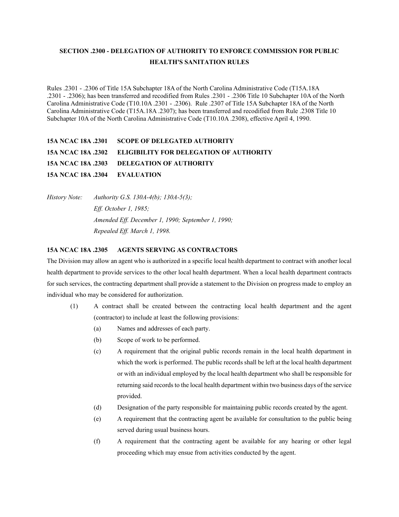### **SECTION .2300 - DELEGATION OF AUTHORITY TO ENFORCE COMMISSION FOR PUBLIC HEALTH'S SANITATION RULES**

Rules .2301 - .2306 of Title 15A Subchapter 18A of the North Carolina Administrative Code (T15A.18A .2301 - .2306); has been transferred and recodified from Rules .2301 - .2306 Title 10 Subchapter 10A of the North Carolina Administrative Code (T10.10A .2301 - .2306). Rule .2307 of Title 15A Subchapter 18A of the North Carolina Administrative Code (T15A.18A .2307); has been transferred and recodified from Rule .2308 Title 10 Subchapter 10A of the North Carolina Administrative Code (T10.10A .2308), effective April 4, 1990.

## **15A NCAC 18A .2301 SCOPE OF DELEGATED AUTHORITY 15A NCAC 18A .2302 ELIGIBILITY FOR DELEGATION OF AUTHORITY 15A NCAC 18A .2303 DELEGATION OF AUTHORITY 15A NCAC 18A .2304 EVALUATION**

*History Note: Authority G.S. 130A-4(b); 130A-5(3); Eff. October 1, 1985; Amended Eff. December 1, 1990; September 1, 1990; Repealed Eff. March 1, 1998.*

#### **15A NCAC 18A .2305 AGENTS SERVING AS CONTRACTORS**

The Division may allow an agent who is authorized in a specific local health department to contract with another local health department to provide services to the other local health department. When a local health department contracts for such services, the contracting department shall provide a statement to the Division on progress made to employ an individual who may be considered for authorization.

- (1) A contract shall be created between the contracting local health department and the agent (contractor) to include at least the following provisions:
	- (a) Names and addresses of each party.
	- (b) Scope of work to be performed.
	- (c) A requirement that the original public records remain in the local health department in which the work is performed. The public records shall be left at the local health department or with an individual employed by the local health department who shall be responsible for returning said records to the local health department within two business days of the service provided.
	- (d) Designation of the party responsible for maintaining public records created by the agent.
	- (e) A requirement that the contracting agent be available for consultation to the public being served during usual business hours.
	- (f) A requirement that the contracting agent be available for any hearing or other legal proceeding which may ensue from activities conducted by the agent.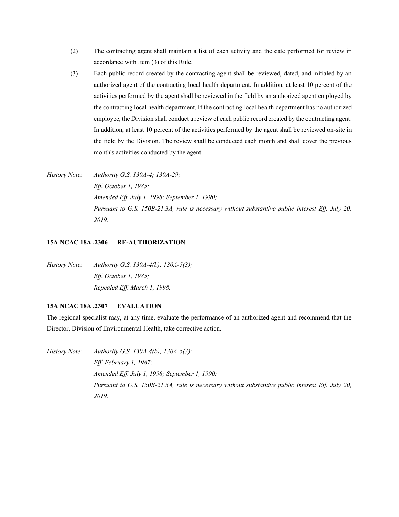- (2) The contracting agent shall maintain a list of each activity and the date performed for review in accordance with Item (3) of this Rule.
- (3) Each public record created by the contracting agent shall be reviewed, dated, and initialed by an authorized agent of the contracting local health department. In addition, at least 10 percent of the activities performed by the agent shall be reviewed in the field by an authorized agent employed by the contracting local health department. If the contracting local health department has no authorized employee, the Division shall conduct a review of each public record created by the contracting agent. In addition, at least 10 percent of the activities performed by the agent shall be reviewed on-site in the field by the Division. The review shall be conducted each month and shall cover the previous month's activities conducted by the agent.

*History Note: Authority G.S. 130A-4; 130A-29; Eff. October 1, 1985; Amended Eff. July 1, 1998; September 1, 1990; Pursuant to G.S. 150B-21.3A, rule is necessary without substantive public interest Eff. July 20, 2019.*

#### **15A NCAC 18A .2306 RE-AUTHORIZATION**

*History Note: Authority G.S. 130A-4(b); 130A-5(3); Eff. October 1, 1985; Repealed Eff. March 1, 1998.*

#### **15A NCAC 18A .2307 EVALUATION**

The regional specialist may, at any time, evaluate the performance of an authorized agent and recommend that the Director, Division of Environmental Health, take corrective action.

*History Note: Authority G.S. 130A-4(b); 130A-5(3); Eff. February 1, 1987; Amended Eff. July 1, 1998; September 1, 1990; Pursuant to G.S. 150B-21.3A, rule is necessary without substantive public interest Eff. July 20, 2019.*